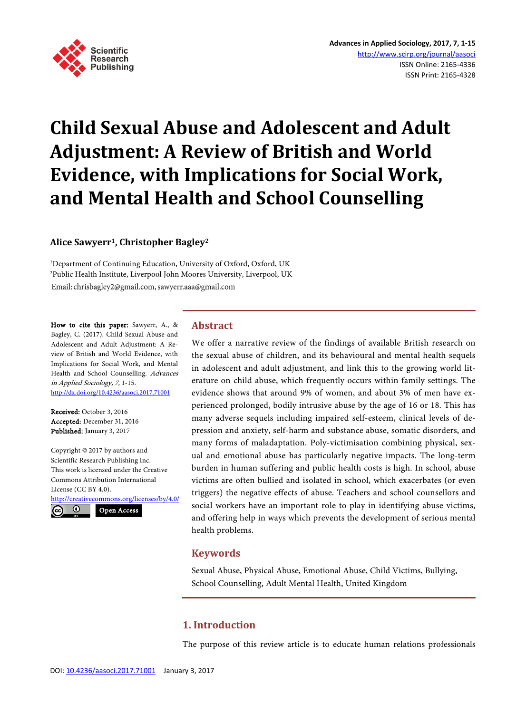

# **Child Sexual Abuse and Adolescent and Adult Adjustment: A Review of British and World Evidence, with Implications for Social Work, and Mental Health and School Counselling**

**Alice Sawyerr1, Christopher Bagley2**

1 Department of Continuing Education, University of Oxford, Oxford, UK 2 Public Health Institute, Liverpool John Moores University, Liverpool, UK Email: chrisbagley2@gmail.com, sawyerr.aaa@gmail.com

How to cite this paper: Sawyerr, A., & Bagley, C. (2017). Child Sexual Abuse and Adolescent and Adult Adjustment: A Review of British and World Evidence, with Implications for Social Work, and Mental Health and School Counselling. Advances in Applied Sociology, 7, 1-15. <http://dx.doi.org/10.4236/aasoci.2017.71001>

Received: October 3, 2016 Accepted: December 31, 2016 Published: January 3, 2017

Copyright © 2017 by authors and Scientific Research Publishing Inc. This work is licensed under the Creative Commons Attribution International License (CC BY 4.0).

<http://creativecommons.org/licenses/by/4.0/>  $\odot$ Open Access

# **Abstract**

We offer a narrative review of the findings of available British research on the sexual abuse of children, and its behavioural and mental health sequels in adolescent and adult adjustment, and link this to the growing world literature on child abuse, which frequently occurs within family settings. The evidence shows that around 9% of women, and about 3% of men have experienced prolonged, bodily intrusive abuse by the age of 16 or 18. This has many adverse sequels including impaired self-esteem, clinical levels of depression and anxiety, self-harm and substance abuse, somatic disorders, and many forms of maladaptation. Poly-victimisation combining physical, sexual and emotional abuse has particularly negative impacts. The long-term burden in human suffering and public health costs is high. In school, abuse victims are often bullied and isolated in school, which exacerbates (or even triggers) the negative effects of abuse. Teachers and school counsellors and social workers have an important role to play in identifying abuse victims, and offering help in ways which prevents the development of serious mental health problems.

# **Keywords**

Sexual Abuse, Physical Abuse, Emotional Abuse, Child Victims, Bullying, School Counselling, Adult Mental Health, United Kingdom

# **1. Introduction**

The purpose of this review article is to educate human relations professionals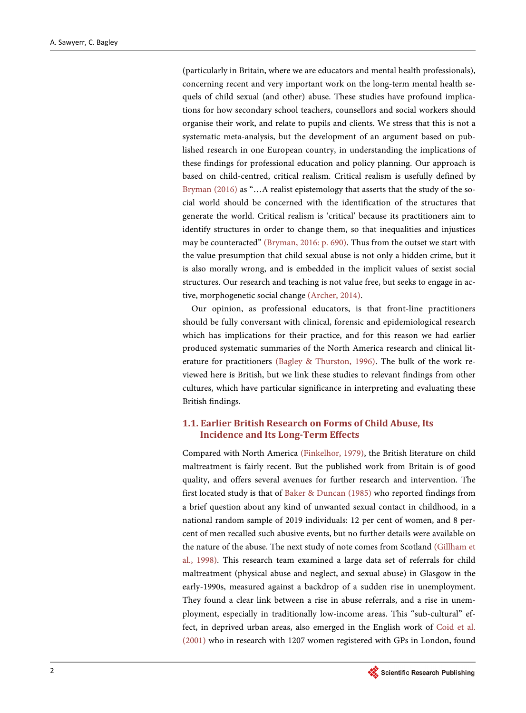(particularly in Britain, where we are educators and mental health professionals), concerning recent and very important work on the long-term mental health sequels of child sexual (and other) abuse. These studies have profound implications for how secondary school teachers, counsellors and social workers should organise their work, and relate to pupils and clients. We stress that this is not a systematic meta-analysis, but the development of an argument based on published research in one European country, in understanding the implications of these findings for professional education and policy planning. Our approach is based on child-centred, critical realism. Critical realism is usefully defined by [Bryman \(2016\)](#page-12-0) as "…A realist epistemology that asserts that the study of the social world should be concerned with the identification of the structures that generate the world. Critical realism is 'critical' because its practitioners aim to identify structures in order to change them, so that inequalities and injustices may be counteracted" [\(Bryman, 2016:](#page-12-0) p. 690). Thus from the outset we start with the value presumption that child sexual abuse is not only a hidden crime, but it is also morally wrong, and is embedded in the implicit values of sexist social structures. Our research and teaching is not value free, but seeks to engage in active, morphogenetic social change [\(Archer, 2014\).](#page-11-0)

Our opinion, as professional educators, is that front-line practitioners should be fully conversant with clinical, forensic and epidemiological research which has implications for their practice, and for this reason we had earlier produced systematic summaries of the North America research and clinical literature for practitioners [\(Bagley & Thurston, 1996\).](#page-12-1) The bulk of the work reviewed here is British, but we link these studies to relevant findings from other cultures, which have particular significance in interpreting and evaluating these British findings.

## **1.1. Earlier British Research on Forms of Child Abuse, Its Incidence and Its Long-Term Effects**

Compared with North America [\(Finkelhor, 1979\),](#page-13-0) the British literature on child maltreatment is fairly recent. But the published work from Britain is of good quality, and offers several avenues for further research and intervention. The first located study is that of [Baker & Duncan \(1985\)](#page-12-2) who reported findings from a brief question about any kind of unwanted sexual contact in childhood, in a national random sample of 2019 individuals: 12 per cent of women, and 8 percent of men recalled such abusive events, but no further details were available on the nature of the abuse. The next study of note comes from Scotland [\(Gillham et](#page-13-1)  [al., 1998\).](#page-13-1) This research team examined a large data set of referrals for child maltreatment (physical abuse and neglect, and sexual abuse) in Glasgow in the early-1990s, measured against a backdrop of a sudden rise in unemployment. They found a clear link between a rise in abuse referrals, and a rise in unemployment, especially in traditionally low-income areas. This "sub-cultural" effect, in deprived urban areas, also emerged in the English work of [Coid et al.](#page-13-2) [\(2001\)](#page-13-2) who in research with 1207 women registered with GPs in London, found

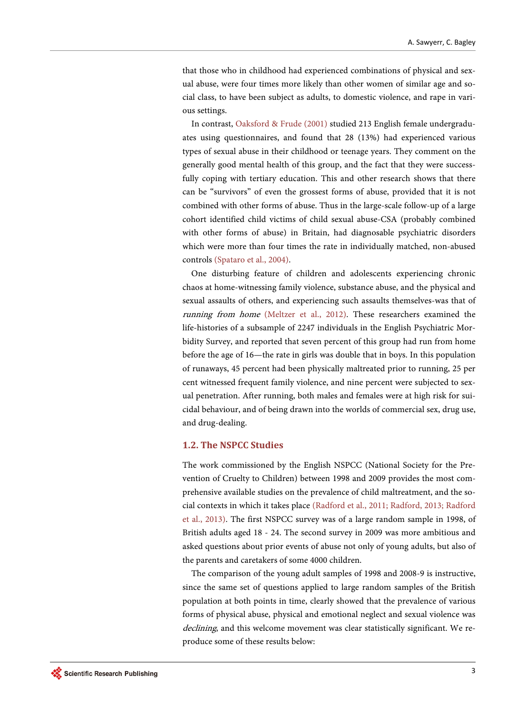that those who in childhood had experienced combinations of physical and sexual abuse, were four times more likely than other women of similar age and social class, to have been subject as adults, to domestic violence, and rape in various settings.

In contrast, Oaksford & [Frude \(2001\)](#page-14-0) studied 213 English female undergraduates using questionnaires, and found that 28 (13%) had experienced various types of sexual abuse in their childhood or teenage years. They comment on the generally good mental health of this group, and the fact that they were successfully coping with tertiary education. This and other research shows that there can be "survivors" of even the grossest forms of abuse, provided that it is not combined with other forms of abuse. Thus in the large-scale follow-up of a large cohort identified child victims of child sexual abuse-CSA (probably combined with other forms of abuse) in Britain, had diagnosable psychiatric disorders which were more than four times the rate in individually matched, non-abused controls [\(Spataro et al., 2004\).](#page-14-1)

One disturbing feature of children and adolescents experiencing chronic chaos at home-witnessing family violence, substance abuse, and the physical and sexual assaults of others, and experiencing such assaults themselves-was that of running from home [\(Meltzer et al., 2012\).](#page-14-2) These researchers examined the life-histories of a subsample of 2247 individuals in the English Psychiatric Morbidity Survey, and reported that seven percent of this group had run from home before the age of 16—the rate in girls was double that in boys. In this population of runaways, 45 percent had been physically maltreated prior to running, 25 per cent witnessed frequent family violence, and nine percent were subjected to sexual penetration. After running, both males and females were at high risk for suicidal behaviour, and of being drawn into the worlds of commercial sex, drug use, and drug-dealing.

#### **1.2. The NSPCC Studies**

The work commissioned by the English NSPCC (National Society for the Prevention of Cruelty to Children) between 1998 and 2009 provides the most comprehensive available studies on the prevalence of child maltreatment, and the social contexts in which it takes place [\(Radford et al., 2011;](#page-14-3) [Radford, 2013;](#page-14-4) [Radford](#page-14-5)  [et al., 2013\).](#page-14-5) The first NSPCC survey was of a large random sample in 1998, of British adults aged 18 - 24. The second survey in 2009 was more ambitious and asked questions about prior events of abuse not only of young adults, but also of the parents and caretakers of some 4000 children.

The comparison of the young adult samples of 1998 and 2008-9 is instructive, since the same set of questions applied to large random samples of the British population at both points in time, clearly showed that the prevalence of various forms of physical abuse, physical and emotional neglect and sexual violence was declining, and this welcome movement was clear statistically significant. We reproduce some of these results below: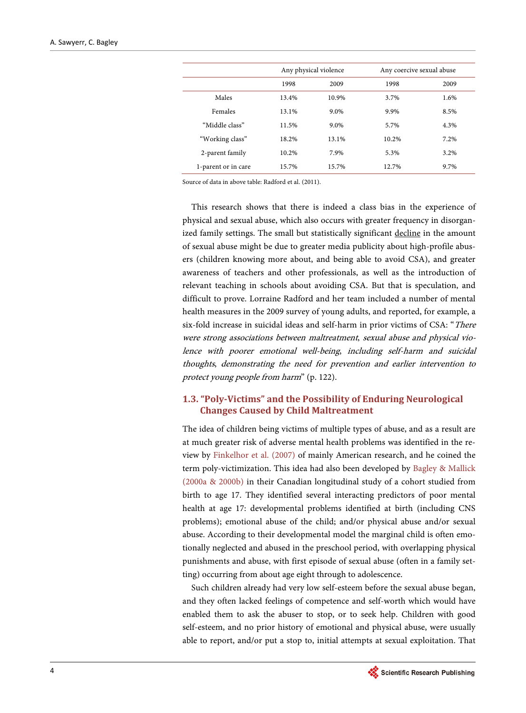|                     | Any physical violence |       | Any coercive sexual abuse |      |
|---------------------|-----------------------|-------|---------------------------|------|
|                     | 1998                  | 2009  | 1998                      | 2009 |
| Males               | 13.4%                 | 10.9% | 3.7%                      | 1.6% |
| Females             | 13.1%                 | 9.0%  | 9.9%                      | 8.5% |
| "Middle class"      | 11.5%                 | 9.0%  | 5.7%                      | 4.3% |
| "Working class"     | 18.2%                 | 13.1% | 10.2%                     | 7.2% |
| 2-parent family     | 10.2%                 | 7.9%  | 5.3%                      | 3.2% |
| 1-parent or in care | 15.7%                 | 15.7% | 12.7%                     | 9.7% |
|                     |                       |       |                           |      |

Source of data in above table: Radford et al. (2011).

This research shows that there is indeed a class bias in the experience of physical and sexual abuse, which also occurs with greater frequency in disorganized family settings. The small but statistically significant decline in the amount of sexual abuse might be due to greater media publicity about high-profile abusers (children knowing more about, and being able to avoid CSA), and greater awareness of teachers and other professionals, as well as the introduction of relevant teaching in schools about avoiding CSA. But that is speculation, and difficult to prove. Lorraine Radford and her team included a number of mental health measures in the 2009 survey of young adults, and reported, for example, a six-fold increase in suicidal ideas and self-harm in prior victims of CSA: "There were strong associations between maltreatment, sexual abuse and physical violence with poorer emotional well-being, including self-harm and suicidal thoughts, demonstrating the need for prevention and earlier intervention to protect young people from harm" (p. 122).

## **1.3. "Poly-Victims" and the Possibility of Enduring Neurological Changes Caused by Child Maltreatment**

The idea of children being victims of multiple types of abuse, and as a result are at much greater risk of adverse mental health problems was identified in the review by [Finkelhor et al. \(2007\)](#page-13-3) of mainly American research, and he coined the term poly-victimization. This idea had also been developed by [Bagley &](#page-11-1) Mallick [\(2000a & 2000b\)](#page-11-1) in their Canadian longitudinal study of a cohort studied from birth to age 17. They identified several interacting predictors of poor mental health at age 17: developmental problems identified at birth (including CNS problems); emotional abuse of the child; and/or physical abuse and/or sexual abuse. According to their developmental model the marginal child is often emotionally neglected and abused in the preschool period, with overlapping physical punishments and abuse, with first episode of sexual abuse (often in a family setting) occurring from about age eight through to adolescence.

Such children already had very low self-esteem before the sexual abuse began, and they often lacked feelings of competence and self-worth which would have enabled them to ask the abuser to stop, or to seek help. Children with good self-esteem, and no prior history of emotional and physical abuse, were usually able to report, and/or put a stop to, initial attempts at sexual exploitation. That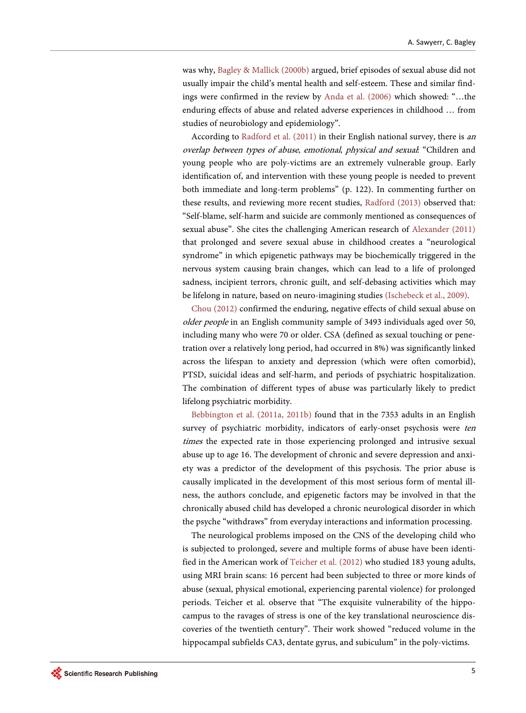was why, Bagley & [Mallick \(2000b\)](#page-12-3) argued, brief episodes of sexual abuse did not usually impair the child's mental health and self-esteem. These and similar findings were confirmed in the review by [Anda et al. \(2006\)](#page-11-2) which showed: "…the enduring effects of abuse and related adverse experiences in childhood … from studies of neurobiology and epidemiology".

According to [Radford et al. \(2011\)](#page-14-3) in their English national survey, there is an overlap between types of abuse, emotional, physical and sexual: "Children and young people who are poly-victims are an extremely vulnerable group. Early identification of, and intervention with these young people is needed to prevent both immediate and long-term problems" (p. 122). In commenting further on these results, and reviewing more recent studies, [Radford \(2013\)](#page-14-4) observed that: "Self-blame, self-harm and suicide are commonly mentioned as consequences of sexual abuse". She cites the challenging American research of [Alexander \(2011\)](#page-11-3) that prolonged and severe sexual abuse in childhood creates a "neurological syndrome" in which epigenetic pathways may be biochemically triggered in the nervous system causing brain changes, which can lead to a life of prolonged sadness, incipient terrors, chronic guilt, and self-debasing activities which may be lifelong in nature, based on neuro-imagining studies [\(Ischebeck et al.,](#page-13-4) 2009).

[Chou \(2012\)](#page-13-5) confirmed the enduring, negative effects of child sexual abuse on older people in an English community sample of 3493 individuals aged over 50, including many who were 70 or older. CSA (defined as sexual touching or penetration over a relatively long period, had occurred in 8%) was significantly linked across the lifespan to anxiety and depression (which were often comorbid), PTSD, suicidal ideas and self-harm, and periods of psychiatric hospitalization. The combination of different types of abuse was particularly likely to predict lifelong psychiatric morbidity.

[Bebbington et al. \(2011a, 2011b\)](#page-12-4) found that in the 7353 adults in an English survey of psychiatric morbidity, indicators of early-onset psychosis were ten times the expected rate in those experiencing prolonged and intrusive sexual abuse up to age 16. The development of chronic and severe depression and anxiety was a predictor of the development of this psychosis. The prior abuse is causally implicated in the development of this most serious form of mental illness, the authors conclude, and epigenetic factors may be involved in that the chronically abused child has developed a chronic neurological disorder in which the psyche "withdraws" from everyday interactions and information processing.

The neurological problems imposed on the CNS of the developing child who is subjected to prolonged, severe and multiple forms of abuse have been identified in the American work of [Teicher et al. \(2012\)](#page-14-6) who studied 183 young adults, using MRI brain scans: 16 percent had been subjected to three or more kinds of abuse (sexual, physical emotional, experiencing parental violence) for prolonged periods. Teicher et al. observe that "The exquisite vulnerability of the hippocampus to the ravages of stress is one of the key translational neuroscience discoveries of the twentieth century". Their work showed "reduced volume in the hippocampal subfields CA3, dentate gyrus, and subiculum" in the poly-victims.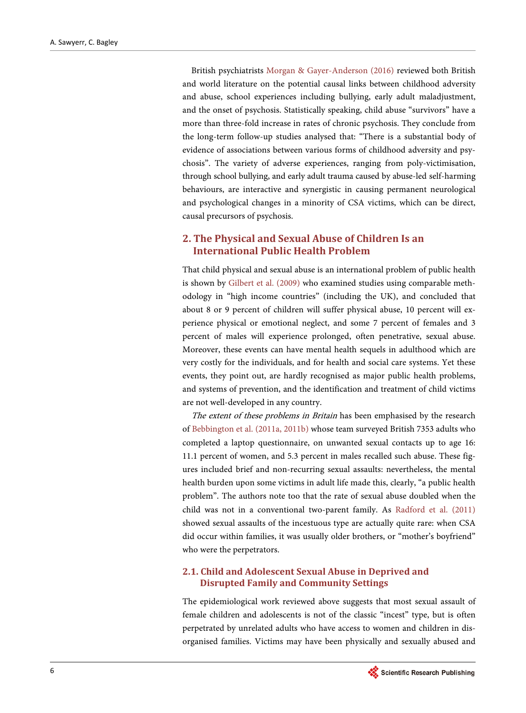British psychiatrists [Morgan & Gayer-Anderson \(2016\)](#page-14-7) reviewed both British and world literature on the potential causal links between childhood adversity and abuse, school experiences including bullying, early adult maladjustment, and the onset of psychosis. Statistically speaking, child abuse "survivors" have a more than three-fold increase in rates of chronic psychosis. They conclude from the long-term follow-up studies analysed that: "There is a substantial body of evidence of associations between various forms of childhood adversity and psychosis". The variety of adverse experiences, ranging from poly-victimisation, through school bullying, and early adult trauma caused by abuse-led self-harming behaviours, are interactive and synergistic in causing permanent neurological and psychological changes in a minority of CSA victims, which can be direct, causal precursors of psychosis.

# **2. The Physical and Sexual Abuse of Children Is an International Public Health Problem**

That child physical and sexual abuse is an international problem of public health is shown by [Gilbert et al. \(2009\)](#page-13-6) who examined studies using comparable methodology in "high income countries" (including the UK), and concluded that about 8 or 9 percent of children will suffer physical abuse, 10 percent will experience physical or emotional neglect, and some 7 percent of females and 3 percent of males will experience prolonged, often penetrative, sexual abuse. Moreover, these events can have mental health sequels in adulthood which are very costly for the individuals, and for health and social care systems. Yet these events, they point out, are hardly recognised as major public health problems, and systems of prevention, and the identification and treatment of child victims are not well-developed in any country.

The extent of these problems in Britain has been emphasised by the research of [Bebbington et al. \(2011a, 2011b\)](#page-12-4) whose team surveyed British 7353 adults who completed a laptop questionnaire, on unwanted sexual contacts up to age 16: 11.1 percent of women, and 5.3 percent in males recalled such abuse. These figures included brief and non-recurring sexual assaults: nevertheless, the mental health burden upon some victims in adult life made this, clearly, "a public health problem". The authors note too that the rate of sexual abuse doubled when the child was not in a conventional two-parent family. As [Radford et al. \(2011\)](#page-14-3) showed sexual assaults of the incestuous type are actually quite rare: when CSA did occur within families, it was usually older brothers, or "mother's boyfriend" who were the perpetrators.

# **2.1. Child and Adolescent Sexual Abuse in Deprived and Disrupted Family and Community Settings**

The epidemiological work reviewed above suggests that most sexual assault of female children and adolescents is not of the classic "incest" type, but is often perpetrated by unrelated adults who have access to women and children in disorganised families. Victims may have been physically and sexually abused and

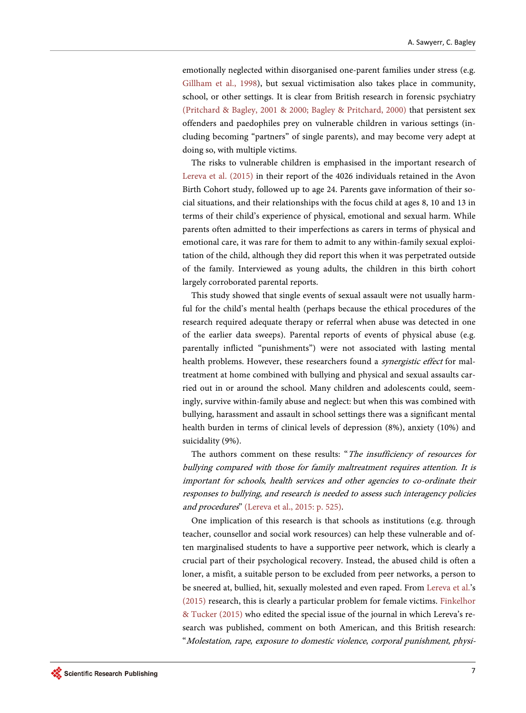emotionally neglected within disorganised one-parent families under stress (e.g. [Gillham et al., 1998\)](#page-13-1), but sexual victimisation also takes place in community, school, or other settings. It is clear from British research in forensic psychiatry [\(Pritchard & Bagley, 2001 & 2000;](#page-14-8) [Bagley & Pritchard, 2000\)](#page-12-5) that persistent sex offenders and paedophiles prey on vulnerable children in various settings (including becoming "partners" of single parents), and may become very adept at doing so, with multiple victims.

The risks to vulnerable children is emphasised in the important research of [Lereva et al. \(2015\)](#page-13-7) in their report of the 4026 individuals retained in the Avon Birth Cohort study, followed up to age 24. Parents gave information of their social situations, and their relationships with the focus child at ages 8, 10 and 13 in terms of their child's experience of physical, emotional and sexual harm. While parents often admitted to their imperfections as carers in terms of physical and emotional care, it was rare for them to admit to any within-family sexual exploitation of the child, although they did report this when it was perpetrated outside of the family. Interviewed as young adults, the children in this birth cohort largely corroborated parental reports.

This study showed that single events of sexual assault were not usually harmful for the child's mental health (perhaps because the ethical procedures of the research required adequate therapy or referral when abuse was detected in one of the earlier data sweeps). Parental reports of events of physical abuse (e.g. parentally inflicted "punishments") were not associated with lasting mental health problems. However, these researchers found a synergistic effect for maltreatment at home combined with bullying and physical and sexual assaults carried out in or around the school. Many children and adolescents could, seemingly, survive within-family abuse and neglect: but when this was combined with bullying, harassment and assault in school settings there was a significant mental health burden in terms of clinical levels of depression (8%), anxiety (10%) and suicidality (9%).

The authors comment on these results: "The insufficiency of resources for bullying compared with those for family maltreatment requires attention. It is important for schools, health services and other agencies to co-ordinate their responses to bullying, and research is needed to assess such interagency policies and procedures" [\(Lereva et al., 2015:](#page-13-7) p. 525).

One implication of this research is that schools as institutions (e.g. through teacher, counsellor and social work resources) can help these vulnerable and often marginalised students to have a supportive peer network, which is clearly a crucial part of their psychological recovery. Instead, the abused child is often a loner, a misfit, a suitable person to be excluded from peer networks, a person to be sneered at, bullied, hit, sexually molested and even raped. From [Lereva et al.'s](#page-13-7) [\(2015\)](#page-13-7) research, this is clearly a particular problem for female victims. [Finkelhor](#page-13-8) [& Tucker \(2015\)](#page-13-8) who edited the special issue of the journal in which Lereva's research was published, comment on both American, and this British research: "Molestation, rape, exposure to domestic violence, corporal punishment, physi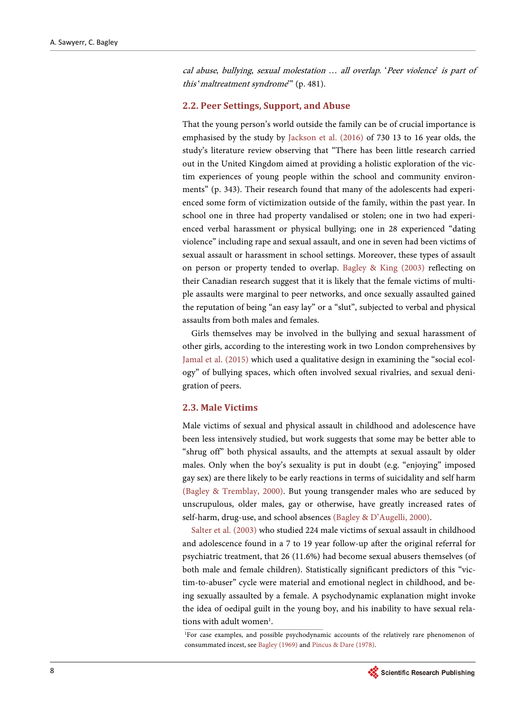cal abuse, bullying, sexual molestation … all overlap. 'Peer violence' is part of this 'maltreatment syndrome'" (p. 481).

#### **2.2. Peer Settings, Support, and Abuse**

That the young person's world outside the family can be of crucial importance is emphasised by the study by [Jackson et al. \(2016\)](#page-13-9) of 730 13 to 16 year olds, the study's literature review observing that "There has been little research carried out in the United Kingdom aimed at providing a holistic exploration of the victim experiences of young people within the school and community environments" (p. 343). Their research found that many of the adolescents had experienced some form of victimization outside of the family, within the past year. In school one in three had property vandalised or stolen; one in two had experienced verbal harassment or physical bullying; one in 28 experienced "dating violence" including rape and sexual assault, and one in seven had been victims of sexual assault or harassment in school settings. Moreover, these types of assault on person or property tended to overlap. [Bagley & King \(2003\)](#page-11-4) reflecting on their Canadian research suggest that it is likely that the female victims of multiple assaults were marginal to peer networks, and once sexually assaulted gained the reputation of being "an easy lay" or a "slut", subjected to verbal and physical assaults from both males and females.

Girls themselves may be involved in the bullying and sexual harassment of other girls, according to the interesting work in two London comprehensives by [Jamal et al. \(2015\)](#page-13-10) which used a qualitative design in examining the "social ecology" of bullying spaces, which often involved sexual rivalries, and sexual denigration of peers.

## **2.3. Male Victims**

Male victims of sexual and physical assault in childhood and adolescence have been less intensively studied, but work suggests that some may be better able to "shrug off" both physical assaults, and the attempts at sexual assault by older males. Only when the boy's sexuality is put in doubt (e.g. "enjoying" imposed gay sex) are there likely to be early reactions in terms of suicidality and self harm [\(Bagley & Tremblay, 2000\).](#page-12-6) But young transgender males who are seduced by unscrupulous, older males, gay or otherwise, have greatly increased rates of self-harm, drug-use, and school absences (Bagley & [D'Augelli, 2000\).](#page-11-5)

[Salter et al. \(2003\)](#page-14-9) who studied 224 male victims of sexual assault in childhood and adolescence found in a 7 to 19 year follow-up after the original referral for psychiatric treatment, that 26 (11.6%) had become sexual abusers themselves (of both male and female children). Statistically significant predictors of this "victim-to-abuser" cycle were material and emotional neglect in childhood, and being sexually assaulted by a female. A psychodynamic explanation might invoke the idea of oedipal guilt in the young boy, and his inability to have sexual relations with adult women<sup>1</sup>.

<sup>1</sup> For case examples, and possible psychodynamic accounts of the relatively rare phenomenon of consummated incest, see [Bagley \(1969\)](#page-11-6) and Pincus [& Dare \(1978\).](#page-14-10)

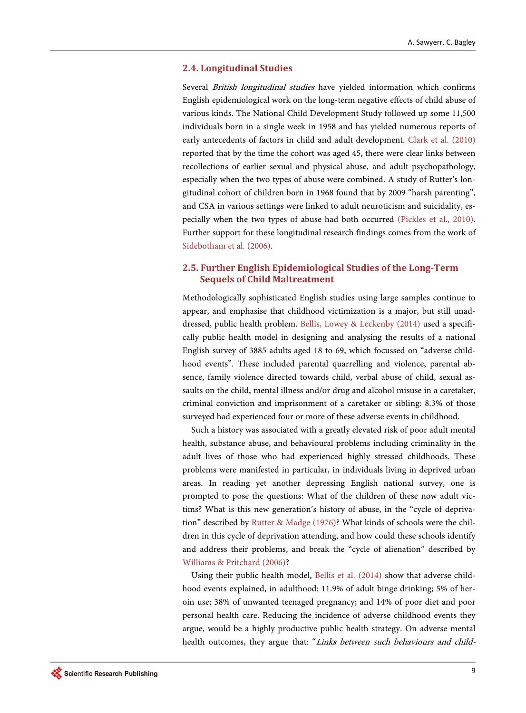#### **2.4. Longitudinal Studies**

Several British longitudinal studies have yielded information which confirms English epidemiological work on the long-term negative effects of child abuse of various kinds. The National Child Development Study followed up some 11,500 individuals born in a single week in 1958 and has yielded numerous reports of early antecedents of factors in child and adult development. [Clark et al. \(2010\)](#page-13-11) reported that by the time the cohort was aged 45, there were clear links between recollections of earlier sexual and physical abuse, and adult psychopathology, especially when the two types of abuse were combined. A study of Rutter's longitudinal cohort of children born in 1968 found that by 2009 "harsh parenting", and CSA in various settings were linked to adult neuroticism and suicidality, especially when the two types of abuse had both occurred [\(Pickles et al., 2010\).](#page-14-11)  Further support for these longitudinal research findings comes from the work of [Sidebotham et al. \(2006\).](#page-14-12)

## **2.5. Further English Epidemiological Studies of the Long-Term Sequels of Child Maltreatment**

Methodologically sophisticated English studies using large samples continue to appear, and emphasise that childhood victimization is a major, but still unaddressed, public health problem. Bellis, Lowey & [Leckenby \(2014\)](#page-12-7) used a specifically public health model in designing and analysing the results of a national English survey of 3885 adults aged 18 to 69, which focussed on "adverse childhood events". These included parental quarrelling and violence, parental absence, family violence directed towards child, verbal abuse of child, sexual assaults on the child, mental illness and/or drug and alcohol misuse in a caretaker, criminal conviction and imprisonment of a caretaker or sibling: 8.3% of those surveyed had experienced four or more of these adverse events in childhood.

Such a history was associated with a greatly elevated risk of poor adult mental health, substance abuse, and behavioural problems including criminality in the adult lives of those who had experienced highly stressed childhoods. These problems were manifested in particular, in individuals living in deprived urban areas. In reading yet another depressing English national survey, one is prompted to pose the questions: What of the children of these now adult victims? What is this new generation's history of abuse, in the "cycle of deprivation" described by [Rutter & Madge \(1976\)?](#page-14-13) What kinds of schools were the children in this cycle of deprivation attending, and how could these schools identify and address their problems, and break the "cycle of alienation" described by [Williams & Pritchard \(2006\)?](#page-14-14)

Using their public health model, [Bellis et al. \(2014\)](#page-12-8) show that adverse childhood events explained, in adulthood: 11.9% of adult binge drinking; 5% of heroin use; 38% of unwanted teenaged pregnancy; and 14% of poor diet and poor personal health care. Reducing the incidence of adverse childhood events they argue, would be a highly productive public health strategy. On adverse mental health outcomes, they argue that: "Links between such behaviours and child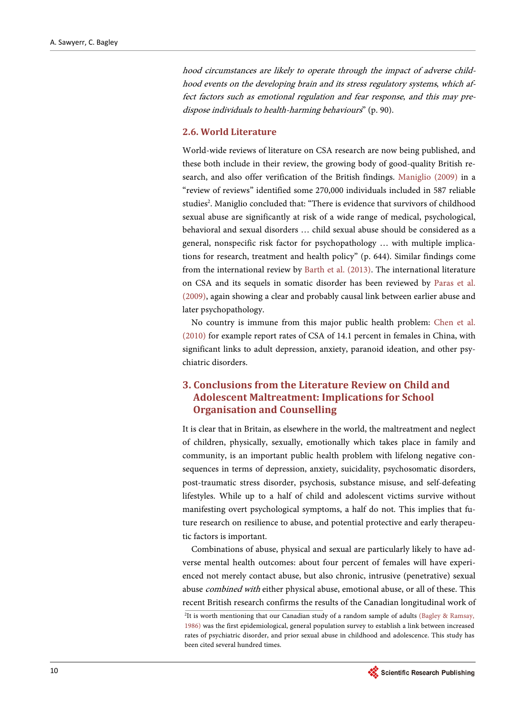hood circumstances are likely to operate through the impact of adverse childhood events on the developing brain and its stress regulatory systems, which affect factors such as emotional regulation and fear response, and this may predispose individuals to health-harming behaviours" (p. 90).

#### **2.6. World Literature**

World-wide reviews of literature on CSA research are now being published, and these both include in their review, the growing body of good-quality British research, and also offer verification of the British findings. [Maniglio \(2009\)](#page-13-12) in a "review of reviews" identified some 270,000 individuals included in 587 reliable studies<sup>2</sup>. Maniglio concluded that: "There is evidence that survivors of childhood sexual abuse are significantly at risk of a wide range of medical, psychological, behavioral and sexual disorders … child sexual abuse should be considered as a general, nonspecific risk factor for psychopathology … with multiple implications for research, treatment and health policy" (p. 644). Similar findings come from the international review by [Barth et al. \(2013\).](#page-12-9) The international literature on CSA and its sequels in somatic disorder has been reviewed by [Paras et al.](#page-14-15)  [\(2009\),](#page-14-15) again showing a clear and probably causal link between earlier abuse and later psychopathology.

No country is immune from this major public health problem: [Chen et al.](#page-12-10)  [\(2010\)](#page-12-10) for example report rates of CSA of 14.1 percent in females in China, with significant links to adult depression, anxiety, paranoid ideation, and other psychiatric disorders.

# **3. Conclusions from the Literature Review on Child and Adolescent Maltreatment: Implications for School Organisation and Counselling**

It is clear that in Britain, as elsewhere in the world, the maltreatment and neglect of children, physically, sexually, emotionally which takes place in family and community, is an important public health problem with lifelong negative consequences in terms of depression, anxiety, suicidality, psychosomatic disorders, post-traumatic stress disorder, psychosis, substance misuse, and self-defeating lifestyles. While up to a half of child and adolescent victims survive without manifesting overt psychological symptoms, a half do not. This implies that future research on resilience to abuse, and potential protective and early therapeutic factors is important.

Combinations of abuse, physical and sexual are particularly likely to have adverse mental health outcomes: about four percent of females will have experienced not merely contact abuse, but also chronic, intrusive (penetrative) sexual abuse combined with either physical abuse, emotional abuse, or all of these. This recent British research confirms the results of the Canadian longitudinal work of

<sup>2</sup> It is worth mentioning that our Canadian study of a random sample of adults [\(Bagley & Ramsay,](#page-12-11)  [1986\)](#page-12-11) was the first epidemiological, general population survey to establish a link between increased rates of psychiatric disorder, and prior sexual abuse in childhood and adolescence. This study has been cited several hundred times.

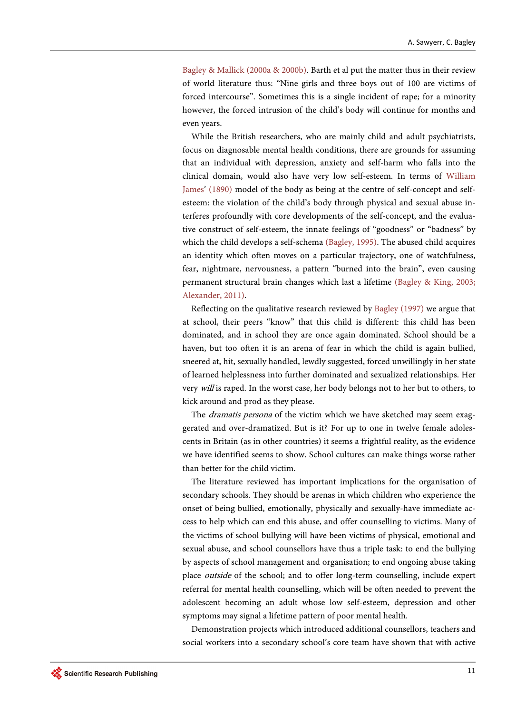Bagley & [Mallick \(2000a](#page-11-1) & 2000b). Barth et al put the matter thus in their review of world literature thus: "Nine girls and three boys out of 100 are victims of forced intercourse". Sometimes this is a single incident of rape; for a minority however, the forced intrusion of the child's body will continue for months and even years.

While the British researchers, who are mainly child and adult psychiatrists, focus on diagnosable mental health conditions, there are grounds for assuming that an individual with depression, anxiety and self-harm who falls into the clinical domain, would also have very low self-esteem. In terms of [William](#page-13-13)  [James' \(1890\)](#page-13-13) model of the body as being at the centre of self-concept and selfesteem: the violation of the child's body through physical and sexual abuse interferes profoundly with core developments of the self-concept, and the evaluative construct of self-esteem, the innate feelings of "goodness" or "badness" by which the child develops a self-schema [\(Bagley, 1995\).](#page-11-7) The abused child acquires an identity which often moves on a particular trajectory, one of watchfulness, fear, nightmare, nervousness, a pattern "burned into the brain", even causing permanent structural brain changes which last a lifetime [\(Bagley & King, 2003;](#page-11-4) [Alexander, 2011\).](#page-11-3)

Reflecting on the qualitative research reviewed by [Bagley \(1997\)](#page-11-8) we argue that at school, their peers "know" that this child is different: this child has been dominated, and in school they are once again dominated. School should be a haven, but too often it is an arena of fear in which the child is again bullied, sneered at, hit, sexually handled, lewdly suggested, forced unwillingly in her state of learned helplessness into further dominated and sexualized relationships. Her very will is raped. In the worst case, her body belongs not to her but to others, to kick around and prod as they please.

The *dramatis persona* of the victim which we have sketched may seem exaggerated and over-dramatized. But is it? For up to one in twelve female adolescents in Britain (as in other countries) it seems a frightful reality, as the evidence we have identified seems to show. School cultures can make things worse rather than better for the child victim.

The literature reviewed has important implications for the organisation of secondary schools. They should be arenas in which children who experience the onset of being bullied, emotionally, physically and sexually-have immediate access to help which can end this abuse, and offer counselling to victims. Many of the victims of school bullying will have been victims of physical, emotional and sexual abuse, and school counsellors have thus a triple task: to end the bullying by aspects of school management and organisation; to end ongoing abuse taking place *outside* of the school; and to offer long-term counselling, include expert referral for mental health counselling, which will be often needed to prevent the adolescent becoming an adult whose low self-esteem, depression and other symptoms may signal a lifetime pattern of poor mental health.

Demonstration projects which introduced additional counsellors, teachers and social workers into a secondary school's core team have shown that with active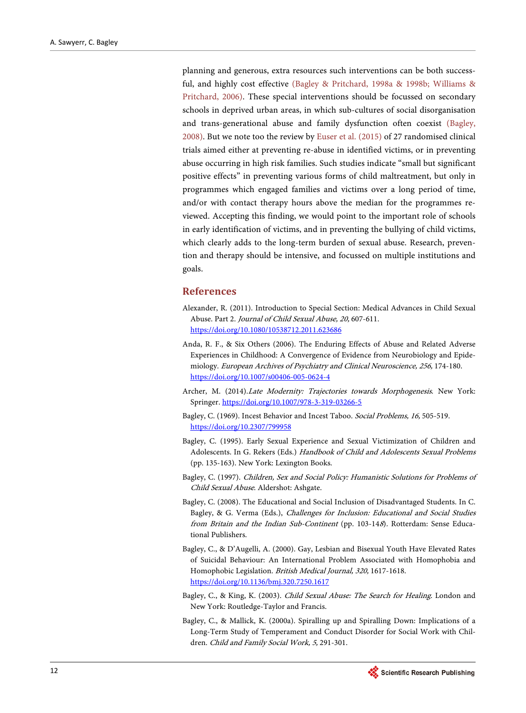planning and generous, extra resources such interventions can be both successful, and highly cost effective [\(Bagley & Pritchard, 1998a](#page-12-12) & 1998b; [Williams &](#page-14-14)  [Pritchard, 2006\).](#page-14-14) These special interventions should be focussed on secondary schools in deprived urban areas, in which sub-cultures of social disorganisation and trans-generational abuse and family dysfunction often coexist [\(Bagley,](#page-11-9)  [2008\).](#page-11-9) But we note too the review by [Euser et al. \(2015\)](#page-13-14) of 27 randomised clinical trials aimed either at preventing re-abuse in identified victims, or in preventing abuse occurring in high risk families. Such studies indicate "small but significant positive effects" in preventing various forms of child maltreatment, but only in programmes which engaged families and victims over a long period of time, and/or with contact therapy hours above the median for the programmes reviewed. Accepting this finding, we would point to the important role of schools in early identification of victims, and in preventing the bullying of child victims, which clearly adds to the long-term burden of sexual abuse. Research, prevention and therapy should be intensive, and focussed on multiple institutions and goals.

#### **References**

- <span id="page-11-3"></span>Alexander, R. (2011). Introduction to Special Section: Medical Advances in Child Sexual Abuse. Part 2. Journal of Child Sexual Abuse, 20, 607-611. <https://doi.org/10.1080/10538712.2011.623686>
- <span id="page-11-2"></span>Anda, R. F., & Six Others (2006). The Enduring Effects of Abuse and Related Adverse Experiences in Childhood: A Convergence of Evidence from Neurobiology and Epidemiology. European Archives of Psychiatry and Clinical Neuroscience, 256, 174-180. <https://doi.org/10.1007/s00406-005-0624-4>
- <span id="page-11-0"></span>Archer, M. (2014).Late Modernity: Trajectories towards Morphogenesis. New York: Springer. <https://doi.org/10.1007/978-3-319-03266-5>
- <span id="page-11-6"></span>Bagley, C. (1969). Incest Behavior and Incest Taboo. Social Problems, 16, 505-519. <https://doi.org/10.2307/799958>
- <span id="page-11-7"></span>Bagley, C. (1995). Early Sexual Experience and Sexual Victimization of Children and Adolescents. In G. Rekers (Eds.) Handbook of Child and Adolescents Sexual Problems (pp. 135-163). New York: Lexington Books.
- <span id="page-11-8"></span>Bagley, C. (1997). Children, Sex and Social Policy: Humanistic Solutions for Problems of Child Sexual Abuse. Aldershot: Ashgate.
- <span id="page-11-9"></span>Bagley, C. (2008). The Educational and Social Inclusion of Disadvantaged Students. In C. Bagley, & G. Verma (Eds.), Challenges for Inclusion: Educational and Social Studies from Britain and the Indian Sub-Continent (pp. 103-148). Rotterdam: Sense Educational Publishers.
- <span id="page-11-5"></span>Bagley, C., & D'Augelli, A. (2000). Gay, Lesbian and Bisexual Youth Have Elevated Rates of Suicidal Behaviour: An International Problem Associated with Homophobia and Homophobic Legislation. British Medical Journal, 320, 1617-1618. <https://doi.org/10.1136/bmj.320.7250.1617>
- <span id="page-11-4"></span>Bagley, C., & King, K. (2003). Child Sexual Abuse: The Search for Healing. London and New York: Routledge-Taylor and Francis.
- <span id="page-11-1"></span>Bagley, C., & Mallick, K. (2000a). Spiralling up and Spiralling Down: Implications of a Long-Term Study of Temperament and Conduct Disorder for Social Work with Children. Child and Family Social Work, 5, 291-301.

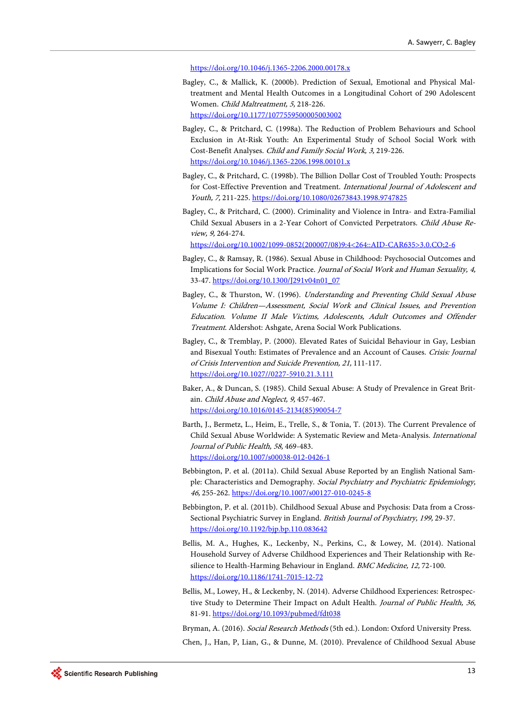<https://doi.org/10.1046/j.1365-2206.2000.00178.x>

<span id="page-12-3"></span>Bagley, C., & Mallick, K. (2000b). Prediction of Sexual, Emotional and Physical Maltreatment and Mental Health Outcomes in a Longitudinal Cohort of 290 Adolescent Women. Child Maltreatment, 5, 218-226.

<https://doi.org/10.1177/1077559500005003002>

- <span id="page-12-12"></span>Bagley, C., & Pritchard, C. (1998a). The Reduction of Problem Behaviours and School Exclusion in At-Risk Youth: An Experimental Study of School Social Work with Cost-Benefit Analyses. Child and Family Social Work, 3, 219-226. <https://doi.org/10.1046/j.1365-2206.1998.00101.x>
- Bagley, C., & Pritchard, C. (1998b). The Billion Dollar Cost of Troubled Youth: Prospects for Cost-Effective Prevention and Treatment. International Journal of Adolescent and Youth, 7, 211-225[. https://doi.org/10.1080/02673843.1998.9747825](https://doi.org/10.1080/02673843.1998.9747825)
- <span id="page-12-5"></span>Bagley, C., & Pritchard, C. (2000). Criminality and Violence in Intra- and Extra-Familial Child Sexual Abusers in a 2-Year Cohort of Convicted Perpetrators. Child Abuse Review, 9, 264-274.

[https://doi.org/10.1002/1099-0852\(200007/08\)9:4<264::AID-CAR635>3.0.CO;2-6](https://doi.org/10.1002/1099-0852(200007/08)9:4%3C264::AID-CAR635%3E3.0.CO;2-6)

- <span id="page-12-11"></span>Bagley, C., & Ramsay, R. (1986). Sexual Abuse in Childhood: Psychosocial Outcomes and Implications for Social Work Practice. Journal of Social Work and Human Sexuality, 4, 33-47. [https://doi.org/10.1300/J291v04n01\\_07](https://doi.org/10.1300/J291v04n01_07)
- <span id="page-12-1"></span>Bagley, C., & Thurston, W. (1996). *Understanding and Preventing Child Sexual Abuse* Volume I: Children—Assessment, Social Work and Clinical Issues, and Prevention Education. Volume II Male Victims, Adolescents, Adult Outcomes and Offender Treatment. Aldershot: Ashgate, Arena Social Work Publications.
- <span id="page-12-6"></span>Bagley, C., & Tremblay, P. (2000). Elevated Rates of Suicidal Behaviour in Gay, Lesbian and Bisexual Youth: Estimates of Prevalence and an Account of Causes. Crisis: Journal of Crisis Intervention and Suicide Prevention, 21, 111-117. [https://doi.org/10.1027//0227-5910.21.3.111](https://doi.org/10.1027/0227-5910.21.3.111)
- <span id="page-12-2"></span>Baker, A., & Duncan, S. (1985). Child Sexual Abuse: A Study of Prevalence in Great Britain. Child Abuse and Neglect, 9, 457-467. [https://doi.org/10.1016/0145-2134\(85\)90054-7](https://doi.org/10.1016/0145-2134(85)90054-7)
- <span id="page-12-9"></span>Barth, J., Bermetz, L., Heim, E., Trelle, S., & Tonia, T. (2013). The Current Prevalence of Child Sexual Abuse Worldwide: A Systematic Review and Meta-Analysis. International Journal of Public Health, 58, 469-483. <https://doi.org/10.1007/s00038-012-0426-1>
- <span id="page-12-4"></span>Bebbington, P. et al. (2011a). Child Sexual Abuse Reported by an English National Sample: Characteristics and Demography. Social Psychiatry and Psychiatric Epidemiology, 46, 255-262. <https://doi.org/10.1007/s00127-010-0245-8>
- Bebbington, P. et al. (2011b). Childhood Sexual Abuse and Psychosis: Data from a Cross-Sectional Psychiatric Survey in England. British Journal of Psychiatry, 199, 29-37. <https://doi.org/10.1192/bjp.bp.110.083642>
- <span id="page-12-8"></span>Bellis, M. A., Hughes, K., Leckenby, N., Perkins, C., & Lowey, M. (2014). National Household Survey of Adverse Childhood Experiences and Their Relationship with Resilience to Health-Harming Behaviour in England. *BMC Medicine*, 12, 72-100. <https://doi.org/10.1186/1741-7015-12-72>
- <span id="page-12-7"></span>Bellis, M., Lowey, H., & Leckenby, N. (2014). Adverse Childhood Experiences: Retrospective Study to Determine Their Impact on Adult Health. Journal of Public Health, 36, 81-91. <https://doi.org/10.1093/pubmed/fdt038>

<span id="page-12-0"></span>Bryman, A. (2016). Social Research Methods (5th ed.). London: Oxford University Press.

<span id="page-12-10"></span>Chen, J., Han, P, Lian, G., & Dunne, M. (2010). Prevalence of Childhood Sexual Abuse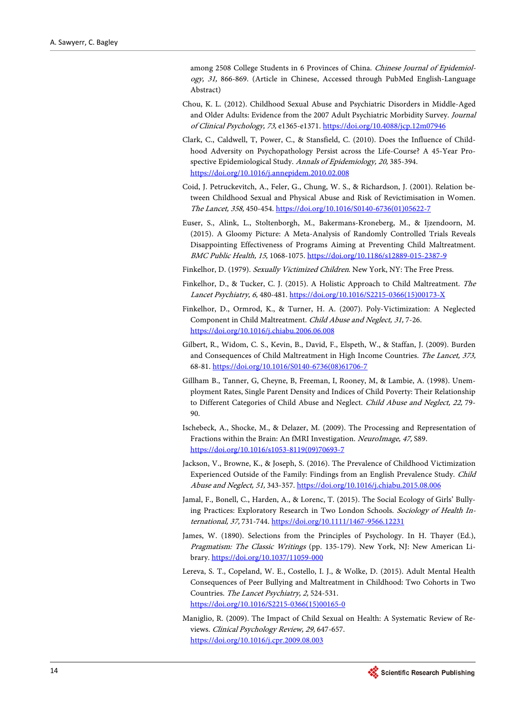among 2508 College Students in 6 Provinces of China. Chinese Journal of Epidemiology, 31, 866-869. (Article in Chinese, Accessed through PubMed English-Language Abstract)

- <span id="page-13-5"></span>Chou, K. L. (2012). Childhood Sexual Abuse and Psychiatric Disorders in Middle-Aged and Older Adults: Evidence from the 2007 Adult Psychiatric Morbidity Survey. Journal of Clinical Psychology, 73, e1365-e1371[. https://doi.org/10.4088/jcp.12m07946](https://doi.org/10.4088/jcp.12m07946)
- <span id="page-13-11"></span>Clark, C., Caldwell, T, Power, C., & Stansfield, C. (2010). Does the Influence of Childhood Adversity on Psychopathology Persist across the Life-Course? A 45-Year Prospective Epidemiological Study. Annals of Epidemiology, 20, 385-394. <https://doi.org/10.1016/j.annepidem.2010.02.008>
- <span id="page-13-2"></span>Coid, J. Petruckevitch, A., Feler, G., Chung, W. S., & Richardson, J. (2001). Relation between Childhood Sexual and Physical Abuse and Risk of Revictimisation in Women. The Lancet, 358, 450-454. [https://doi.org/10.1016/S0140-6736\(01\)05622-7](https://doi.org/10.1016/S0140-6736(01)05622-7)
- <span id="page-13-14"></span>Euser, S., Alink, L., Stoltenborgh, M., Bakermans-Kroneberg, M., & Ijzendoorn, M. (2015). A Gloomy Picture: A Meta-Analysis of Randomly Controlled Trials Reveals Disappointing Effectiveness of Programs Aiming at Preventing Child Maltreatment. BMC Public Health, 15, 1068-1075. <https://doi.org/10.1186/s12889-015-2387-9>
- <span id="page-13-0"></span>Finkelhor, D. (1979). Sexually Victimized Children. New York, NY: The Free Press.
- <span id="page-13-8"></span>Finkelhor, D., & Tucker, C. J. (2015). A Holistic Approach to Child Maltreatment. The Lancet Psychiatry, 6, 480-481. [https://doi.org/10.1016/S2215-0366\(15\)00173-X](https://doi.org/10.1016/S2215-0366(15)00173-X)
- <span id="page-13-3"></span>Finkelhor, D., Ormrod, K., & Turner, H. A. (2007). Poly-Victimization: A Neglected Component in Child Maltreatment. Child Abuse and Neglect, 31, 7-26. <https://doi.org/10.1016/j.chiabu.2006.06.008>
- <span id="page-13-6"></span>Gilbert, R., Widom, C. S., Kevin, B., David, F., Elspeth, W., & Staffan, J. (2009). Burden and Consequences of Child Maltreatment in High Income Countries. The Lancet, 373, 68-81. [https://doi.org/10.1016/S0140-6736\(08\)61706-7](https://doi.org/10.1016/S0140-6736(08)61706-7)
- <span id="page-13-1"></span>Gillham B., Tanner, G, Cheyne, B, Freeman, I, Rooney, M, & Lambie, A. (1998). Unemployment Rates, Single Parent Density and Indices of Child Poverty: Their Relationship to Different Categories of Child Abuse and Neglect. Child Abuse and Neglect, 22, 79- 90.
- <span id="page-13-4"></span>Ischebeck, A., Shocke, M., & Delazer, M. (2009). The Processing and Representation of Fractions within the Brain: An fMRI Investigation. NeuroImage, 47, S89. [https://doi.org/10.1016/s1053-8119\(09\)70693-7](https://doi.org/10.1016/s1053-8119(09)70693-7)
- <span id="page-13-9"></span>Jackson, V., Browne, K., & Joseph, S. (2016). The Prevalence of Childhood Victimization Experienced Outside of the Family: Findings from an English Prevalence Study. Child Abuse and Neglect, 51, 343-357[. https://doi.org/10.1016/j.chiabu.2015.08.006](https://doi.org/10.1016/j.chiabu.2015.08.006)
- <span id="page-13-10"></span>Jamal, F., Bonell, C., Harden, A., & Lorenc, T. (2015). The Social Ecology of Girls' Bullying Practices: Exploratory Research in Two London Schools. Sociology of Health International, 37, 731-744. <https://doi.org/10.1111/1467-9566.12231>
- <span id="page-13-13"></span>James, W. (1890). Selections from the Principles of Psychology. In H. Thayer (Ed.), Pragmatism: The Classic Writings (pp. 135-179). New York, NJ: New American Library. <https://doi.org/10.1037/11059-000>
- <span id="page-13-7"></span>Lereva, S. T., Copeland, W. E., Costello, I. J., & Wolke, D. (2015). Adult Mental Health Consequences of Peer Bullying and Maltreatment in Childhood: Two Cohorts in Two Countries. The Lancet Psychiatry, 2, 524-531. [https://doi.org/10.1016/S2215-0366\(15\)00165-0](https://doi.org/10.1016/S2215-0366(15)00165-0)
- <span id="page-13-12"></span>Maniglio, R. (2009). The Impact of Child Sexual on Health: A Systematic Review of Reviews. Clinical Psychology Review, 29, 647-657. <https://doi.org/10.1016/j.cpr.2009.08.003>

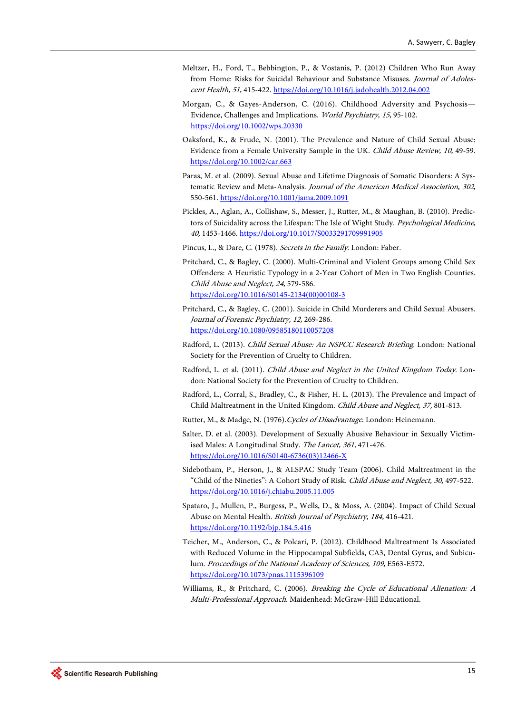- <span id="page-14-2"></span>Meltzer, H., Ford, T., Bebbington, P., & Vostanis, P. (2012) Children Who Run Away from Home: Risks for Suicidal Behaviour and Substance Misuses. Journal of Adolescent Health, 51, 415-422. <https://doi.org/10.1016/j.jadohealth.2012.04.002>
- <span id="page-14-7"></span>Morgan, C., & Gayes-Anderson, C. (2016). Childhood Adversity and Psychosis— Evidence, Challenges and Implications. World Psychiatry, 15, 95-102. <https://doi.org/10.1002/wps.20330>
- <span id="page-14-0"></span>Oaksford, K., & Frude, N. (2001). The Prevalence and Nature of Child Sexual Abuse: Evidence from a Female University Sample in the UK. Child Abuse Review, 10, 49-59. <https://doi.org/10.1002/car.663>
- <span id="page-14-15"></span>Paras, M. et al. (2009). Sexual Abuse and Lifetime Diagnosis of Somatic Disorders: A Systematic Review and Meta-Analysis. Journal of the American Medical Association, 302, 550-561. <https://doi.org/10.1001/jama.2009.1091>
- <span id="page-14-11"></span>Pickles, A., Aglan, A., Collishaw, S., Messer, J., Rutter, M., & Maughan, B. (2010). Predictors of Suicidality across the Lifespan: The Isle of Wight Study. Psychological Medicine, 40, 1453-1466. <https://doi.org/10.1017/S0033291709991905>
- <span id="page-14-10"></span>Pincus, L., & Dare, C. (1978). Secrets in the Family. London: Faber.
- Pritchard, C., & Bagley, C. (2000). Multi-Criminal and Violent Groups among Child Sex Offenders: A Heuristic Typology in a 2-Year Cohort of Men in Two English Counties. Child Abuse and Neglect, 24, 579-586. [https://doi.org/10.1016/S0145-2134\(00\)00108-3](https://doi.org/10.1016/S0145-2134(00)00108-3)
- <span id="page-14-8"></span>Pritchard, C., & Bagley, C. (2001). Suicide in Child Murderers and Child Sexual Abusers. Journal of Forensic Psychiatry, 12, 269-286. <https://doi.org/10.1080/09585180110057208>
- <span id="page-14-4"></span>Radford, L. (2013). Child Sexual Abuse: An NSPCC Research Briefing. London: National Society for the Prevention of Cruelty to Children.
- <span id="page-14-3"></span>Radford, L. et al. (2011). Child Abuse and Neglect in the United Kingdom Today. London: National Society for the Prevention of Cruelty to Children.
- <span id="page-14-5"></span>Radford, L., Corral, S., Bradley, C., & Fisher, H. L. (2013). The Prevalence and Impact of Child Maltreatment in the United Kingdom. Child Abuse and Neglect, 37, 801-813.
- Rutter, M., & Madge, N. (1976).Cycles of Disadvantage. London: Heinemann.
- <span id="page-14-13"></span><span id="page-14-9"></span>Salter, D. et al. (2003). Development of Sexually Abusive Behaviour in Sexually Victimised Males: A Longitudinal Study. The Lancet, 361, 471-476. [https://doi.org/10.1016/S0140-6736\(03\)12466-X](https://doi.org/10.1016/S0140-6736(03)12466-X)
- <span id="page-14-12"></span>Sidebotham, P., Herson, J., & ALSPAC Study Team (2006). Child Maltreatment in the "Child of the Nineties": A Cohort Study of Risk. Child Abuse and Neglect, 30, 497-522. <https://doi.org/10.1016/j.chiabu.2005.11.005>
- <span id="page-14-1"></span>Spataro, J., Mullen, P., Burgess, P., Wells, D., & Moss, A. (2004). Impact of Child Sexual Abuse on Mental Health. British Journal of Psychiatry, 184, 416-421. <https://doi.org/10.1192/bjp.184.5.416>
- <span id="page-14-6"></span>Teicher, M., Anderson, C., & Polcari, P. (2012). Childhood Maltreatment Is Associated with Reduced Volume in the Hippocampal Subfields, CA3, Dental Gyrus, and Subiculum. Proceedings of the National Academy of Sciences, 109, E563-E572. <https://doi.org/10.1073/pnas.1115396109>
- <span id="page-14-14"></span>Williams, R., & Pritchard, C. (2006). Breaking the Cycle of Educational Alienation: A Multi-Professional Approach. Maidenhead: McGraw-Hill Educational.